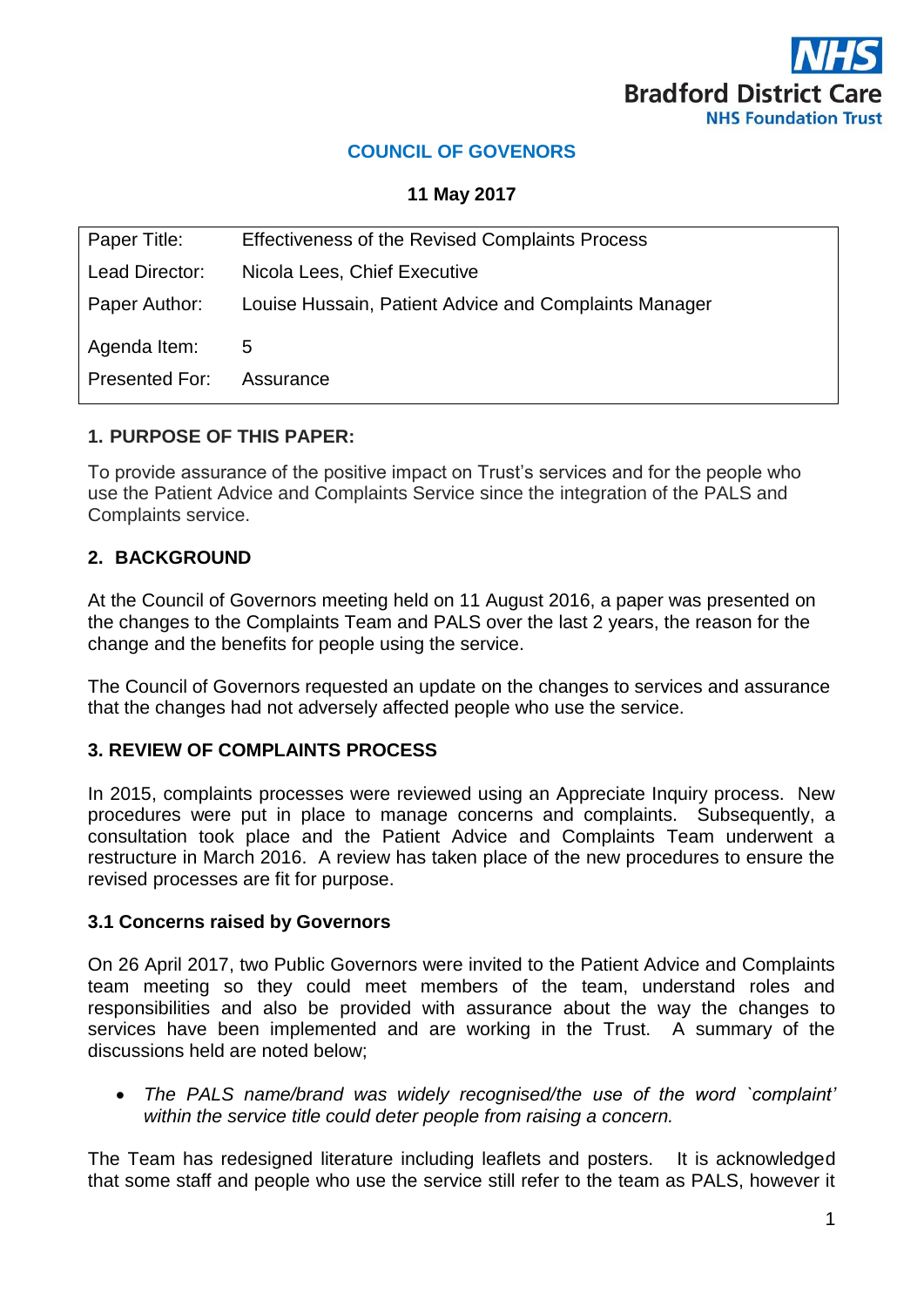

# **COUNCIL OF GOVENORS**

**11 May 2017**

| Paper Title:   | <b>Effectiveness of the Revised Complaints Process</b> |
|----------------|--------------------------------------------------------|
| Lead Director: | Nicola Lees, Chief Executive                           |
| Paper Author:  | Louise Hussain, Patient Advice and Complaints Manager  |
| Agenda Item:   | 5                                                      |
| Presented For: | Assurance                                              |

#### **1. PURPOSE OF THIS PAPER:**

To provide assurance of the positive impact on Trust's services and for the people who use the Patient Advice and Complaints Service since the integration of the PALS and Complaints service.

## **2. BACKGROUND**

At the Council of Governors meeting held on 11 August 2016, a paper was presented on the changes to the Complaints Team and PALS over the last 2 years, the reason for the change and the benefits for people using the service.

The Council of Governors requested an update on the changes to services and assurance that the changes had not adversely affected people who use the service.

## **3. REVIEW OF COMPLAINTS PROCESS**

In 2015, complaints processes were reviewed using an Appreciate Inquiry process. New procedures were put in place to manage concerns and complaints. Subsequently, a consultation took place and the Patient Advice and Complaints Team underwent a restructure in March 2016. A review has taken place of the new procedures to ensure the revised processes are fit for purpose.

#### **3.1 Concerns raised by Governors**

On 26 April 2017, two Public Governors were invited to the Patient Advice and Complaints team meeting so they could meet members of the team, understand roles and responsibilities and also be provided with assurance about the way the changes to services have been implemented and are working in the Trust. A summary of the discussions held are noted below;

 *The PALS name/brand was widely recognised/the use of the word `complaint' within the service title could deter people from raising a concern.*

The Team has redesigned literature including leaflets and posters. It is acknowledged that some staff and people who use the service still refer to the team as PALS, however it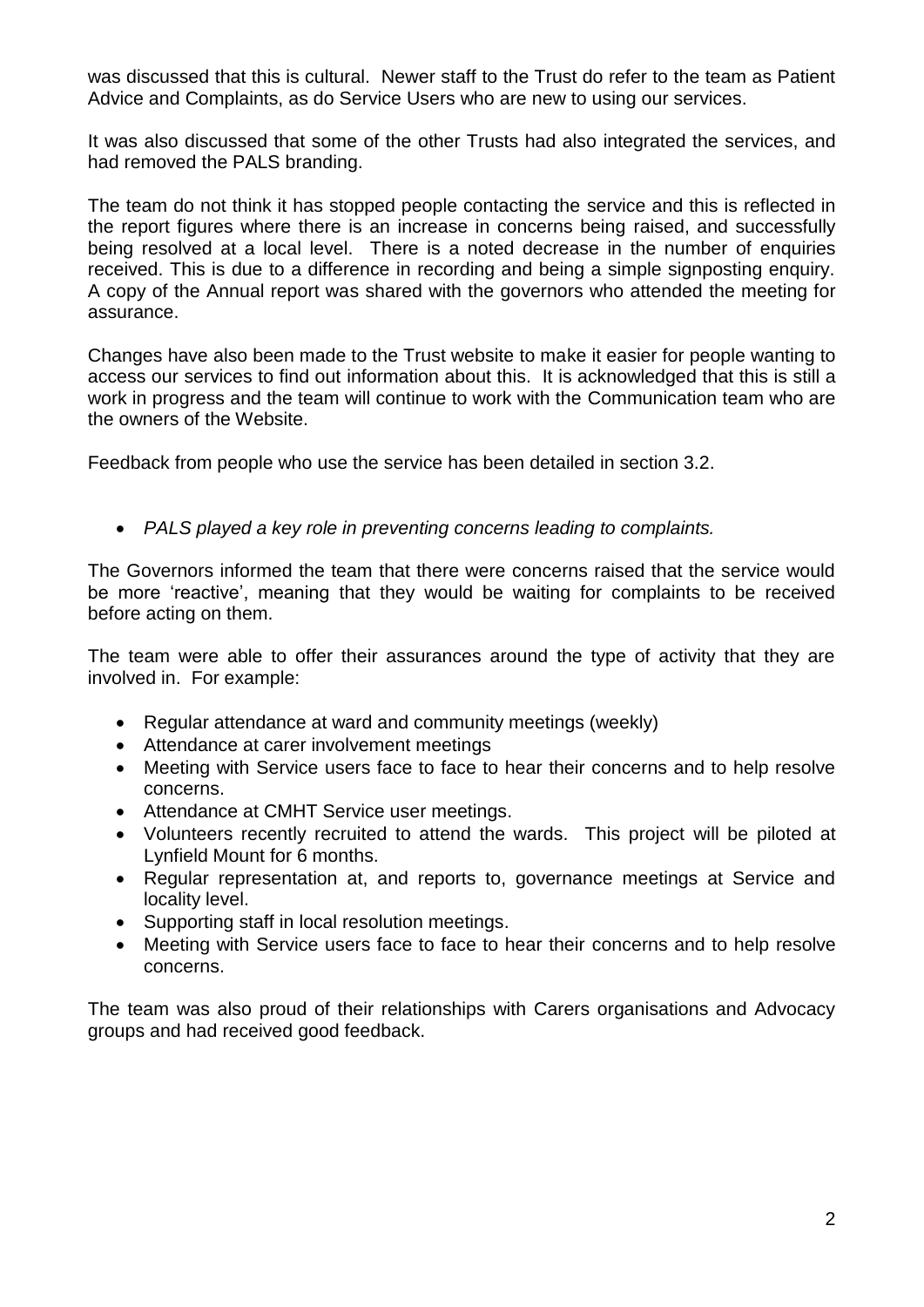was discussed that this is cultural. Newer staff to the Trust do refer to the team as Patient Advice and Complaints, as do Service Users who are new to using our services.

It was also discussed that some of the other Trusts had also integrated the services, and had removed the PALS branding.

The team do not think it has stopped people contacting the service and this is reflected in the report figures where there is an increase in concerns being raised, and successfully being resolved at a local level. There is a noted decrease in the number of enquiries received. This is due to a difference in recording and being a simple signposting enquiry. A copy of the Annual report was shared with the governors who attended the meeting for assurance.

Changes have also been made to the Trust website to make it easier for people wanting to access our services to find out information about this. It is acknowledged that this is still a work in progress and the team will continue to work with the Communication team who are the owners of the Website.

Feedback from people who use the service has been detailed in section 3.2.

*PALS played a key role in preventing concerns leading to complaints.*

The Governors informed the team that there were concerns raised that the service would be more 'reactive', meaning that they would be waiting for complaints to be received before acting on them.

The team were able to offer their assurances around the type of activity that they are involved in. For example:

- Regular attendance at ward and community meetings (weekly)
- Attendance at carer involvement meetings
- Meeting with Service users face to face to hear their concerns and to help resolve concerns.
- Attendance at CMHT Service user meetings.
- Volunteers recently recruited to attend the wards. This project will be piloted at Lynfield Mount for 6 months.
- Regular representation at, and reports to, governance meetings at Service and locality level.
- Supporting staff in local resolution meetings.
- Meeting with Service users face to face to hear their concerns and to help resolve concerns.

The team was also proud of their relationships with Carers organisations and Advocacy groups and had received good feedback.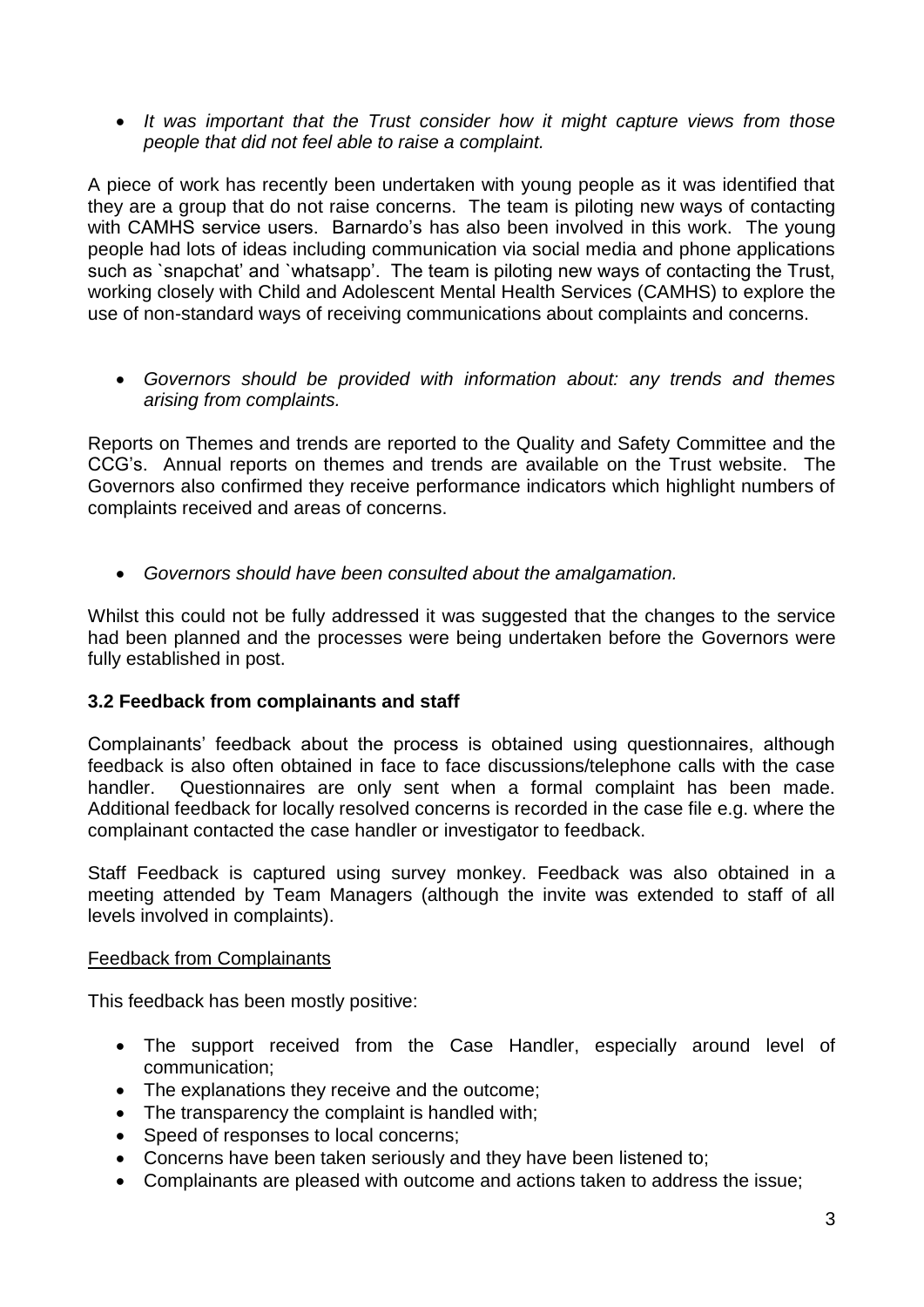*It was important that the Trust consider how it might capture views from those people that did not feel able to raise a complaint.*

A piece of work has recently been undertaken with young people as it was identified that they are a group that do not raise concerns. The team is piloting new ways of contacting with CAMHS service users. Barnardo's has also been involved in this work. The young people had lots of ideas including communication via social media and phone applications such as `snapchat' and `whatsapp'. The team is piloting new ways of contacting the Trust, working closely with Child and Adolescent Mental Health Services (CAMHS) to explore the use of non-standard ways of receiving communications about complaints and concerns.

 *Governors should be provided with information about: any trends and themes arising from complaints.*

Reports on Themes and trends are reported to the Quality and Safety Committee and the CCG's. Annual reports on themes and trends are available on the Trust website. The Governors also confirmed they receive performance indicators which highlight numbers of complaints received and areas of concerns.

*Governors should have been consulted about the amalgamation.*

Whilst this could not be fully addressed it was suggested that the changes to the service had been planned and the processes were being undertaken before the Governors were fully established in post.

#### **3.2 Feedback from complainants and staff**

Complainants' feedback about the process is obtained using questionnaires, although feedback is also often obtained in face to face discussions/telephone calls with the case handler. Questionnaires are only sent when a formal complaint has been made. Additional feedback for locally resolved concerns is recorded in the case file e.g. where the complainant contacted the case handler or investigator to feedback.

Staff Feedback is captured using survey monkey. Feedback was also obtained in a meeting attended by Team Managers (although the invite was extended to staff of all levels involved in complaints).

#### Feedback from Complainants

This feedback has been mostly positive:

- The support received from the Case Handler, especially around level of communication;
- The explanations they receive and the outcome;
- The transparency the complaint is handled with;
- Speed of responses to local concerns;
- Concerns have been taken seriously and they have been listened to;
- Complainants are pleased with outcome and actions taken to address the issue;